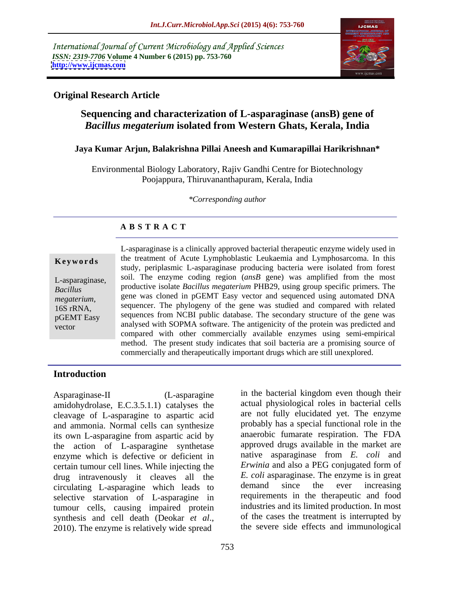International Journal of Current Microbiology and Applied Sciences *ISSN: 2319-7706* **Volume 4 Number 6 (2015) pp. 753-760 <http://www.ijcmas.com>**



## **Original Research Article**

## **Sequencing and characterization of L-asparaginase (ansB) gene of**  *Bacillus megaterium* **isolated from Western Ghats, Kerala, India**

#### **Jaya Kumar Arjun, Balakrishna Pillai Aneesh and Kumarapillai Harikrishnan\***

Environmental Biology Laboratory, Rajiv Gandhi Centre for Biotechnology Poojappura, Thiruvananthapuram, Kerala, India

*\*Corresponding author*

## **A B S T R A C T**

vector

L-asparaginase is a clinically approved bacterial therapeutic enzyme widely used in **Keywords** the treatment of Acute Lymphoblastic Leukaemia and Lymphosarcoma. In this study, periplasmic L-asparaginase producing bacteria were isolated from forest L-asparaginase, soil. The enzyme coding region (*ansB* gene) was amplified from the most productive isolate *Bacillus megaterium* PHB29, using group specific primers. The *Bacillus*  gene was cloned in pGEMT Easy vector and sequenced using automated DNA megaterium, gene was cloned in pGEMT Easy vector and sequenced using automated DNA<br>16S rRNA, sequencer. The phylogeny of the gene was studied and compared with related pGEMT Easy sequences from NCBI public database. The secondary structure of the gene was analysed with SOPMA software. The antigenicity of the protein was predicted and compared with other commercially available enzymes using semi-empirical method. The present study indicates that soil bacteria are a promising source of commercially and therapeutically important drugs which are still unexplored.

## **Introduction**

Asparaginase-II (L-asparagine in the bacterial kingdom even though their amidohydrolase, E.C.3.5.1.1) catalyses the cleavage of L-asparagine to aspartic acid and ammonia. Normal cells can synthesize its own L-asparagine from aspartic acid by the action of L-asparagine synthetase enzyme which is defective or deficient in certain tumour cell lines. While injecting the drug intravenously it cleaves all the  $E$  coli asparaginase. The enzyme is in great circulating L-asparagine which leads to demand since the ever increasing circulating L-asparagine which leads to selective starvation of L-asparagine in tumour cells, causing impaired protein synthesis and cell death (Deokar *et al.*, of the cases the treatment is interrupted by 2010). The enzyme is relatively wide spread the severe side effects and immunological

actual physiological roles in bacterial cells are not fully elucidated yet. The enzyme probably has a special functional role in the anaerobic fumarate respiration. The FDA approved drugs available in the market are native asparaginase from *E. coli* and *Erwinia* and also a PEG conjugated form of *E. coli* asparaginase. The enzyme is in great demand since the ever increasing requirements in the therapeutic and food industries and its limited production. In most of the cases the treatment is interrupted by the severe side effects and immunological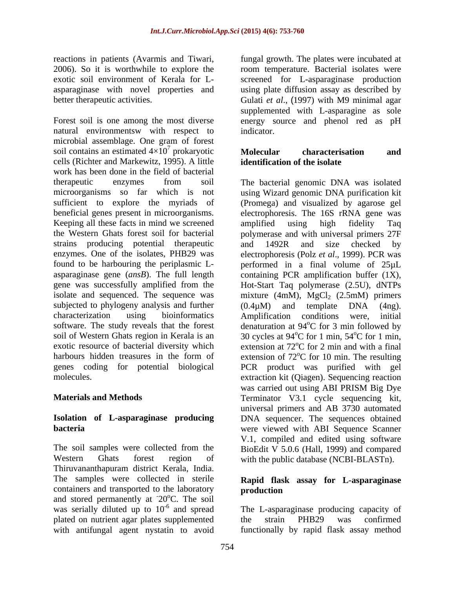Forest soil is one among the most diverse energy source and phenol red as pH natural environmentsw with respect to indicator. microbial assemblage. One gram of forest soil contains an estimated  $4\times10^7$  prokaryotic **Molecular** characterisation and cells (Richter and Markewitz, 1995). A little work has been done in the field of bacterial Keeping all these facts in mind we screened amplified using high fidelity Taq strains producing potential therapeutic and 1492R and size checked by subjected to phylogeny analysis and further soil of Western Ghats region in Kerala is an exotic resource of bacterial diversity which

Western Ghats forest region of with the public database (NCBI-BLASTn). Thiruvananthapuram district Kerala, India. The samples were collected in sterile containers and transported to the laboratory **production** and stored permanently at  $20^{\circ}$ C. The soil was serially diluted up to  $10^{-6}$  and spread plated on nutrient agar plates supplemented the strain PHB29 was confirmed with antifungal agent nystatin to avoid functionally by rapid flask assay method

reactions in patients (Avarmis and Tiwari, fungal growth. The plates were incubated at 2006). So it is worthwhile to explore the room temperature. Bacterial isolates were exotic soil environment of Kerala for L- screened for L-asparaginase production asparaginase with novel properties and using plate diffusion assay as described by better therapeutic activities. Gulati *et al*., (1997) with M9 minimal agar supplemented with L-asparagine as sole indicator.

#### $^7$  probes yotic Melecular shows towards and prokaryotic Molecular characterisation and **Molecular characterisation and identification of the isolate**

therapeutic enzymes from soil The bacterial genomic DNA was isolated microorganisms so far which is not using Wizard genomic DNA purification kit sufficient to explore the myriads of (Promega) and visualized by agarose gel beneficial genes present in microorganisms. electrophoresis. The 16S rRNA gene was the Western Ghats forest soil for bacterial polymerase and with universal primers 27F enzymes. One of the isolates, PHB29 was electrophoresis (Polz *et al*., 1999). PCR was found to be harbouring the periplasmic L- performed in a final volume of 25µL asparaginase gene (*ansB*). The full length containing PCR amplification buffer (1X), gene was successfully amplified from the Hot-Start Taq polymerase (2.5U), dNTPs isolate and sequenced. The sequence was mixture  $(4m)$ ,  $MgCl<sub>2</sub> (2.5m)$  primers characterization using bioinformatics Amplification conditions were, initial software. The study reveals that the forest denaturation at 94<sup>o</sup>C for 3 min followed by harbours hidden treasures in the form of extension of  $72^{\circ}$ C for 10 min. The resulting genes coding for potential biological PCR product was purified with gel molecules. extraction kit (Qiagen). Sequencing reaction **Materials and Methods** Terminator V3.1 cycle sequencing kit, **Isolation of L-asparaginase producing** DNA sequencer. The sequences obtained **bacteria** were viewed with ABI Sequence Scanner The soil samples were collected from the BioEdit V 5.0.6 (Hall, 1999) and compared amplified using high fidelity Taq and 1492R and size checked by (0.4µM) and template DNA (4ng). oC for 3 min followed by 30 cycles at  $94^{\circ}$ C for 1 min,  $54^{\circ}$ C for 1 min,  $^{\circ}$ C for 1 min, 54 $^{\circ}$ C for 1 min,  $\rm{^{\circ}C}$  for 1 min, extension at  $72^{\circ}$ C for 2 min and with a final  $\rm{^{\circ}C}$  for 2 min and with a final <sup>o</sup>C for 10 min. The resulting was carried out using ABI PRISM Big Dye universal primers and AB 3730 automated V.1, compiled and edited using software

## **Rapid flask assay for L-asparaginase production**

-6 and spread The L-asparaginase producing capacity of the strain PHB29 was confirmed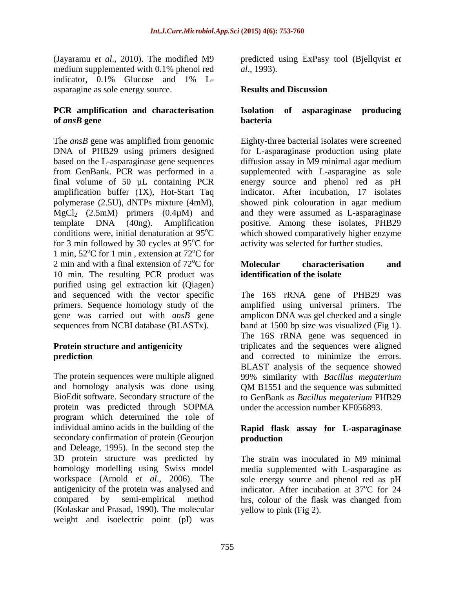medium supplemented with 0.1% phenol red  $al., 1993$ . indicator, 0.1% Glucose and 1% L asparagine as sole energy source.

#### **PCR amplification and characterisation of** *ansB* gene bacteria

The *ansB* gene was amplified from genomic Eighty-three bacterial isolates were screened DNA of PHB29 using primers designed for L-asparaginase production using plate based on the L-asparaginase gene sequences diffusion assay in M9 minimal agar medium from GenBank. PCR was performed in a supplemented with L-asparagine as sole final volume of 50 µL containing PCR energy source and phenol red as pH amplification buffer (1X), Hot-Start Taq polymerase (2.5U), dNTPs mixture (4mM),  $MgCl<sub>2</sub>$  (2.5mM) primers (0.4 $\mu$ M) and<br>template DNA (40ng). Amplification template DNA (40ng). Amplification positive. Among these isolates, PHB29 conditions were, initial denaturation at  $95^{\circ}$ C which showed comparatively higher enzyme for 3 min followed by 30 cycles at  $95^{\circ}$ C for 1 min,  $52^{\circ}$ C for 1 min, extension at  $72^{\circ}$ C for 2 min and with a final extension of  $72^{\circ}$ C for **Molecular characterisation** and 10 min. The resulting PCR product was purified using gel extraction kit (Qiagen) and sequenced with the vector specific The 16S rRNA gene of PHB29 was primers. Sequence homology study of the gene was carried out with *ansB* gene amplicon DNA was gel checked and a single sequences from NCBI database (BLASTx). band at 1500 bp size was visualized (Fig 1).

The protein sequences were multiple aligned 99% similarity with *Bacillus megaterium* and homology analysis was done using QM B1551 and the sequence was submitted BioEdit software. Secondary structure of the to GenBank as *Bacillus megaterium* PHB29 protein was predicted through SOPMA program which determined the role of individual amino acids in the building of the **Rapid flask assay for L-asparaginase**  secondary confirmation of protein (Geourjon production and Deleage, 1995). In the second step the 3D protein structure was predicted by homology modelling using Swiss model media supplemented with L-asparagine as workspace (Arnold *et al*., 2006). The antigenicity of the protein was analysed and indicator. After incubation at 37<sup>o</sup>C for 24 compared by semi-empirical method hrs, colour of the flask was changed from (Kolaskar and Prasad, 1990). The molecular weight and isoelectric point (pI) was

(Jayaramu *et al.*, 2010). The modified M9 predicted using ExPasy tool (Bjellqvist *et al*., 1993).

## **Results and Discussion**

### **Isolation of asparaginase producing bacteria**

oC for activity was selected for further studies. indicator. After incubation, 17 isolates showed pink colouration in agar medium and they were assumed as L-asparaginase

#### <sup>o</sup>C for **Molecular characterisation** and **Molecular characterisation and identification of the isolate**

**Protein structure and antigenicity exercise** triplicates and the sequences were aligned **prediction** and corrected to minimize the errors. The 16S rRNA gene of PHB29 amplified using universal primers. The The 16S rRNA gene was sequenced in BLAST analysis of the sequence showed under the accession number KF056893.

# **production**

The strain was inoculated in M9 minimal sole energy source and phenol red as pH  $^{\circ}$ C for  $24$ yellow to pink (Fig 2).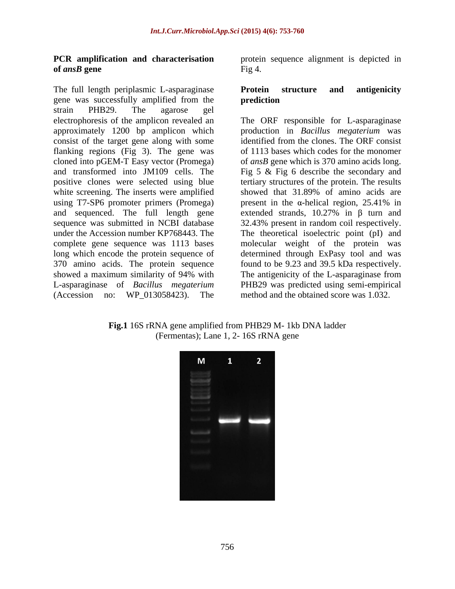# **of** *ansB* **gene**

The full length periplasmic L-asparaginase **Protein structure and antigenicity** gene was successfully amplified from the strain PHB29. The agarose gel consist of the target gene along with some flanking regions (Fig 3). The gene was white screening. The inserts were amplified showed that 31.89% of amino acids are using T7-SP6 promoter primers (Promega) present in the  $\alpha$ -helical region, 25.41% in (Accession no: WP\_013058423). The

**PCR amplification and characterisation** protein sequence alignment is depicted in Fig 4.

#### **Protein structure and antigenicity prediction**

electrophoresis of the amplicon revealed an The ORF responsible for L-asparaginase approximately 1200 bp amplicon which production in *Bacillus megaterium* was cloned into pGEM-T Easy vector (Promega) of *ansB* gene which is 370 amino acids long. and transformed into JM109 cells. The Fig 5 & Fig 6 describe the secondary and positive clones were selected using blue tertiary structures of the protein. The results and sequenced. The full length gene  $\alpha$  extended strands, 10.27% in  $\beta$  turn and sequence was submitted in NCBI database 32.43% present in random coil respectively. under the Accession number KP768443. The The theoretical isoelectric point (pI) and complete gene sequence was 1113 bases in molecular weight of the protein was long which encode the protein sequence of determined through ExPasy tool and was 370 amino acids. The protein sequence found to be 9.23 and 39.5 kDa respectively. showed a maximum similarity of 94% with The antigenicity of the L-asparaginase from L-asparaginase of *Bacillus megaterium* PHB29 was predicted using semi-empirical identified from the clones. The ORF consist of 1113 bases which codes for the monomer showed that 31.89% of amino acids are present in the  $\alpha$ -helical region, 25.41% in The antigenicity of the L-asparaginase from method and the obtained score was 1.032.

**Fig.1** 16S rRNA gene amplified from PHB29 M- 1kb DNA ladder (Fermentas); Lane 1, 2- 16S rRNA gene

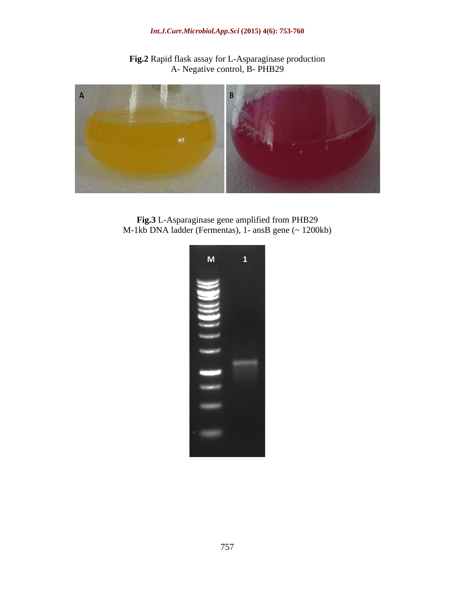#### *Int.J.Curr.Microbiol.App.Sci* **(2015) 4(6): 753-760**

**Fig.2** Rapid flask assay for L-Asparaginase production A- Negative control, B- PHB29



**Fig.3** L-Asparaginase gene amplified from PHB29 M-1kb DNA ladder (Fermentas), 1- ansB gene (~ 1200kb)

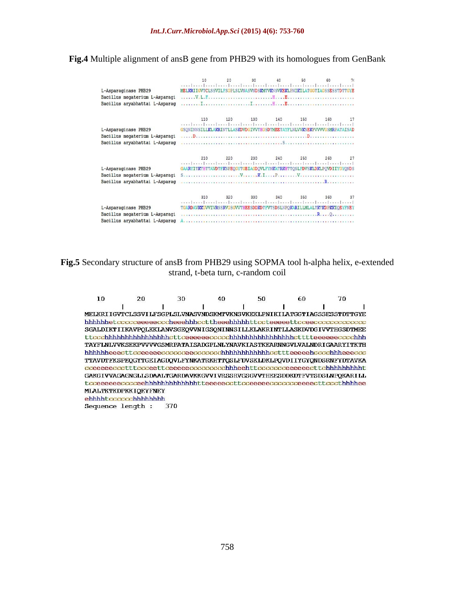## **Fig.4** Multiple alignment of ansB gene from PHB29 with its homologues from GenBank

| L-Asparaginase PHB29<br>Bacillus megaterium L-Asparagi<br>Bacillus aryabhattai L-Asparag | 10<br>MELKRIIGVTCLSSVILFSGPLSLVNASVNDSKMTVKNSVKEKLPNIKILATGGTIAGSSESSTDTTGYE  | 20 30 40 50 60      |  |  |
|------------------------------------------------------------------------------------------|-------------------------------------------------------------------------------|---------------------|--|--|
| L-Asparaginase PHB29<br>Bacillus megaterium L-Asparagi<br>Bacillus aryabhattai L-Asparag | 110<br>GSQNINNSILLKLAKRINTLLASKDVDGIVVTHGSDTMEETAYFLNLVVKSEKPVVVVGSMRPATAISAD | 120 130 140 150 160 |  |  |
| L-Asparaginase PHB29<br>Bacillus megaterium L-Asparagi<br>Bacillus aryabhattai L-Asparag | 210<br>GAARYITKTHTTAVDTFKSPEQGYTGEIAGDQVLFYNKATRKHTTQSLFDVSKLDKLPQVDIIYGYQNDS | 220 230 240 250 260 |  |  |
| L-Asparaginase PHB29<br>Bacillus megaterium L-Asparagi<br>Bacillus aryabhattai L-Asparag | TGARDAVKKGVVIVRSSRVGSGVVTHEESDDKDTFVTSDSLNPQKARILLMLALTKTKDPKKIQEYFNEY        |                     |  |  |

## **Fig.5** Secondary structure of ansB from PHB29 using SOPMA tool h-alpha helix, e-extended strand, t-beta turn, c-random coil

| 10 | 20                          | 30                                                                                       | 40 | 50 | 60 | 70 |
|----|-----------------------------|------------------------------------------------------------------------------------------|----|----|----|----|
|    |                             |                                                                                          |    |    |    |    |
|    |                             | MELKRI I GVTCLSSVI LESGPLSLVNASVNDSKMTVKNSVKEKLPNI KI LATGGT LAGSSESSTDTTGYE             |    |    |    |    |
|    |                             | hhhhhhet <i>ocooceeeeeoocheeehhhoo</i> ttheeehhhhhtt <i>oc</i> teeeeettoceeoocoocoocooco |    |    |    |    |
|    |                             | SGALDIKTIIKAVPOLKKLANVSGEOVVNIGSONINNSILLKLAKRINTLLASKDVDGIVVTHGSDTMEE                   |    |    |    |    |
|    |                             |                                                                                          |    |    |    |    |
|    |                             | TAYFI.NLVVKSEKPVVVVGSMRPATAISADGPLNLYNAVKIASTKEARNNGVLVALNDRIGAARYITKTH                  |    |    |    |    |
|    |                             |                                                                                          |    |    |    |    |
|    |                             | TTAVDTFKSPEOGYTGEIAGDOVLFYNKATRKHTTOSLFDVSKI.DKLPOVDIIYGYONDSRNFYDTAVKA                  |    |    |    |    |
|    |                             |                                                                                          |    |    |    |    |
|    |                             | GAKGIVVAGAGNGLLSDAALTGARDAVKKGVVIVRSSRVGSGVVTHEESDDKDTFVTSDSLNPOKARILL                   |    |    |    |    |
|    |                             | tcceeeeeecccceehhhhhhhhhhhhhtteeeeeccttcceeeeeccccccceeeecttccthhhhee                    |    |    |    |    |
|    | <b>MLALTKTKDPKKIOEYFNEY</b> |                                                                                          |    |    |    |    |
|    | ehhhht.ccccccchhhhhhhh      |                                                                                          |    |    |    |    |

Sequence length : 370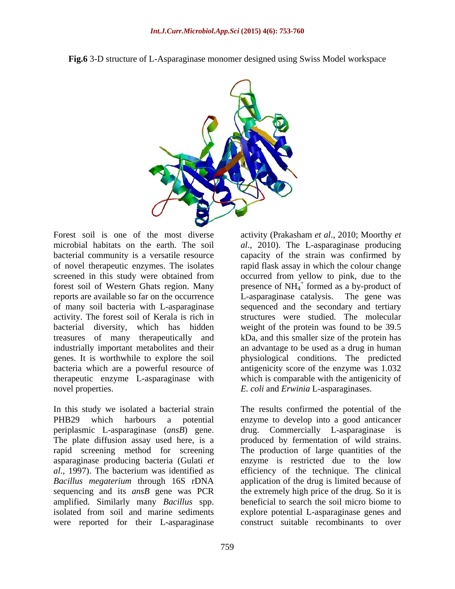

**Fig.6** 3-D structure of L-Asparaginase monomer designed using Swiss Model workspace

Forest soil is one of the most diverse activity (Prakasham *et al.*, 2010; Moorthy *et* microbial habitats on the earth. The soil *al*., 2010). The L-asparaginase producing bacterial community is a versatile resource capacity of the strain was confirmed by of novel therapeutic enzymes. The isolates screened in this study were obtained from occurred from yellow to pink, due to the forest soil of Western Ghats region. Many presence of  $NH_4^+$  formed as a by-product of reports are available so far on the occurrence L-asparaginase catalysis. The gene was of many soil bacteria with L-asparaginase activity. The forest soil of Kerala is rich in bacterial diversity, which has hidden weight of the protein was found to be 39.5 treasures of many therapeutically and industrially important metabolites and their an advantage to be used as a drug in human genes. It is worthwhile to explore the soil physiological conditions. The predicted bacteria which are a powerful resource of antigenicity score of the enzyme was 1.032 therapeutic enzyme L-asparaginase with novel properties. *E. coli* and *Erwinia* L-asparaginases.

In this study we isolated a bacterial strain The results confirmed the potential of the PHB29 which harbours a potential enzyme to develop into a good anticancer periplasmic L-asparaginase (*ansB*) gene. drug. Commercially L-asparaginase is The plate diffusion assay used here, is a produced by fermentation of wild strains. rapid screening method for screening The production of large quantities of the asparaginase producing bacteria (Gulati *et al*., 1997). The bacterium was identified as efficiency of the technique. The clinical *Bacillus megaterium* through 16S rDNA application of the drug is limited because of sequencing and its *ansB* gene was PCR amplified. Similarly many *Bacillus* spp. beneficial to search the soil micro biome to isolated from soil and marine sediments explore potential L-asparaginase genes and were reported for their L-asparaginase

rapid flask assay in which the colour change L-asparaginase catalysis. sequenced and the secondary and tertiary structures were studied. The molecular kDa, and this smaller size of the protein has which is comparable with the antigenicity of

enzyme is restricted due to the low the extremely high price of the drug. So it is construct suitable recombinants to over